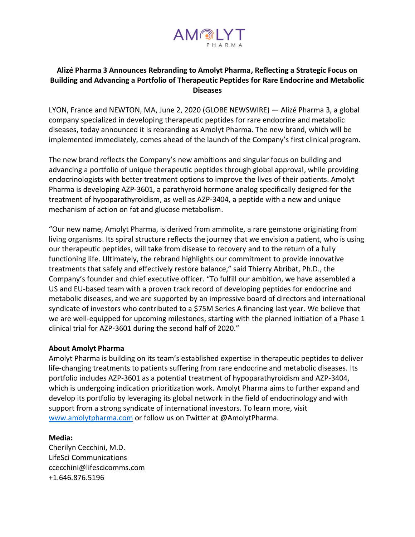

## **Alizé Pharma 3 Announces Rebranding to Amolyt Pharma, Reflecting a Strategic Focus on Building and Advancing a Portfolio of Therapeutic Peptides for Rare Endocrine and Metabolic Diseases**

LYON, France and NEWTON, MA, June 2, 2020 (GLOBE NEWSWIRE) — Alizé Pharma 3, a global company specialized in developing therapeutic peptides for rare endocrine and metabolic diseases, today announced it is rebranding as Amolyt Pharma. The new brand, which will be implemented immediately, comes ahead of the launch of the Company's first clinical program.

The new brand reflects the Company's new ambitions and singular focus on building and advancing a portfolio of unique therapeutic peptides through global approval, while providing endocrinologists with better treatment options to improve the lives of their patients. Amolyt Pharma is developing AZP-3601, a parathyroid hormone analog specifically designed for the treatment of hypoparathyroidism, as well as AZP-3404, a peptide with a new and unique mechanism of action on fat and glucose metabolism.

"Our new name, Amolyt Pharma, is derived from ammolite, a rare gemstone originating from living organisms. Its spiral structure reflects the journey that we envision a patient, who is using our therapeutic peptides, will take from disease to recovery and to the return of a fully functioning life. Ultimately, the rebrand highlights our commitment to provide innovative treatments that safely and effectively restore balance," said Thierry Abribat, Ph.D., the Company's founder and chief executive officer. "To fulfill our ambition, we have assembled a US and EU-based team with a proven track record of developing peptides for endocrine and metabolic diseases, and we are supported by an impressive board of directors and international syndicate of investors who contributed to a \$75M Series A financing last year. We believe that we are well-equipped for upcoming milestones, starting with the planned initiation of a Phase 1 clinical trial for AZP-3601 during the second half of 2020."

## **About Amolyt Pharma**

Amolyt Pharma is building on its team's established expertise in therapeutic peptides to deliver life-changing treatments to patients suffering from rare endocrine and metabolic diseases. Its portfolio includes AZP-3601 as a potential treatment of hypoparathyroidism and AZP-3404, which is undergoing indication prioritization work. Amolyt Pharma aims to further expand and develop its portfolio by leveraging its global network in the field of endocrinology and with support from a strong syndicate of international investors. To learn more, visit [www.amolytpharma.com](http://www.amolytpharma.com/) or follow us on Twitter at @AmolytPharma.

## **Media:**

Cherilyn Cecchini, M.D. LifeSci Communications ccecchini@lifescicomms.com +1.646.876.5196